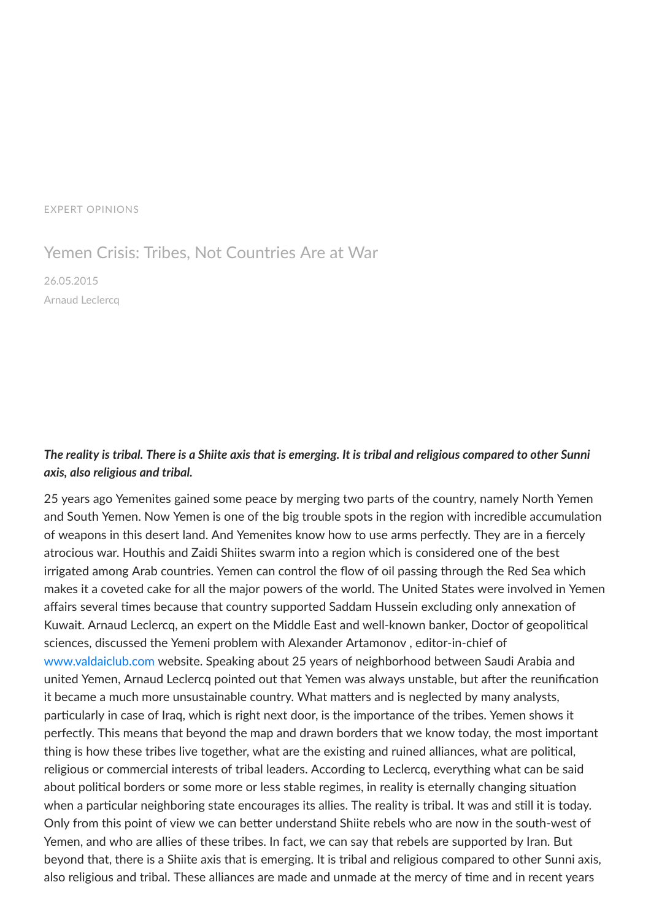## EXPERT [OPINIONS](https://valdaiclub.com/a/highlights/)

## Yemen Crisis: Tribes, Not Countries Are at War

26.05.2015 Arnaud [Leclercq](https://valdaiclub.com/about/experts/324/)

## The reality is tribal. There is a Shiite axis that is emerging. It is tribal and religious compared to other Sunni *axis, also religious and tribal.*

25 years ago Yemenites gained some peace by merging two parts of the country, namely North Yemen and South Yemen. Now Yemen is one of the big trouble spots in the region with incredible accumulation of weapons in this desert land. And Yemenites know how to use arms perfectly. They are in a fiercely atrocious war. Houthis and Zaidi Shiites swarm into a region which is considered one of the best irrigated among Arab countries. Yemen can control the flow of oil passing through the Red Sea which makes it a coveted cake for all the major powers of the world. The United States were involved in Yemen affairs several times because that country supported Saddam Hussein excluding only annexation of Kuwait. Arnaud Leclercq, an expert on the Middle East and well-known banker, Doctor of geopolitical sciences, discussed the Yemeni problem with Alexander Artamonov , editor-in-chief of [www.valdaiclub.com](http://www.valdaiclub.com/) website. Speaking about 25 years of neighborhood between Saudi Arabia and united Yemen, Arnaud Leclercq pointed out that Yemen was always unstable, but after the reunification it became a much more unsustainable country. What matters and is neglected by many analysts, particularly in case of Iraq, which is right next door, is the importance of the tribes. Yemen shows it perfectly. This means that beyond the map and drawn borders that we know today, the most important thing is how these tribes live together, what are the existing and ruined alliances, what are political, religious or commercial interests of tribal leaders. According to Leclercq, everything what can be said about political borders or some more or less stable regimes, in reality is eternally changing situation when a particular neighboring state encourages its allies. The reality is tribal. It was and still it is today. Only from this point of view we can better understand Shiite rebels who are now in the south-west of Yemen, and who are allies of these tribes. In fact, we can say that rebels are supported by Iran. But beyond that, there is a Shiite axis that is emerging. It is tribal and religious compared to other Sunni axis, also religious and tribal. These alliances are made and unmade at the mercy of time and in recent years